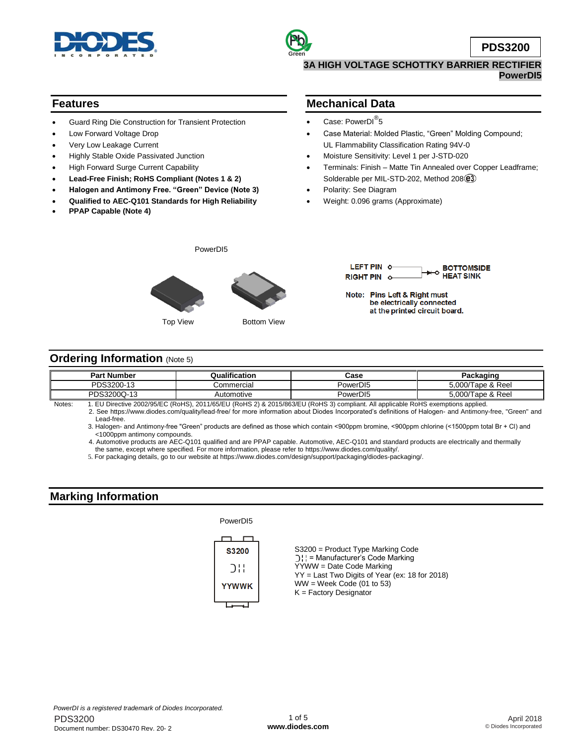

### **PowerDI5**

## **Features**

- Guard Ring Die Construction for Transient Protection
- Low Forward Voltage Drop
- Very Low Leakage Current
- Highly Stable Oxide Passivated Junction
- High Forward Surge Current Capability
- **Lead-Free Finish; RoHS Compliant (Notes 1 & 2)**
- **Halogen and Antimony Free. "Green" Device (Note 3)**
- **Qualified to AEC-Q101 Standards for High Reliability**
- **PPAP Capable (Note 4)**

### **Mechanical Data**

- Case: PowerDI<sup>®</sup>5
- Case Material: Molded Plastic, "Green" Molding Compound; UL Flammability Classification Rating 94V-0
- Moisture Sensitivity: Level 1 per J-STD-020
- Terminals: Finish Matte Tin Annealed over Copper Leadframe; Solderable per MIL-STD-202, Method 208 $(2)$
- Polarity: See Diagram
- Weight: 0.096 grams (Approximate)





Note: Pins Left & Right must be electrically connected at the printed circuit board.

### **Ordering Information (Note 5)**

| <b>Part Number</b>                                                                                                                                                                                                                                                                                                                                                                                   | Qualification | Case                 | Packaging         |  |  |
|------------------------------------------------------------------------------------------------------------------------------------------------------------------------------------------------------------------------------------------------------------------------------------------------------------------------------------------------------------------------------------------------------|---------------|----------------------|-------------------|--|--|
| PDS3200-13                                                                                                                                                                                                                                                                                                                                                                                           | じommercial    | PowerD <sub>15</sub> | 5.000/Tape & Reel |  |  |
| PDS3200Q-13                                                                                                                                                                                                                                                                                                                                                                                          | Automotive    | PowerDI5             | 5.000/Tape & Reel |  |  |
| $\overline{1}$ $\overline{1}$ $\overline{1}$ $\overline{1}$ $\overline{1}$ $\overline{1}$ $\overline{1}$ $\overline{1}$ $\overline{1}$ $\overline{1}$ $\overline{1}$ $\overline{1}$ $\overline{1}$ $\overline{1}$ $\overline{1}$ $\overline{1}$ $\overline{1}$ $\overline{1}$ $\overline{1}$ $\overline{1}$ $\overline{1}$ $\overline{1}$ $\overline{1}$ $\overline{1}$ $\overline{$<br>$\mathbf{r}$ |               |                      |                   |  |  |

Notes: 1. EU Directive 2002/95/EC (RoHS), 2011/65/EU (RoHS 2) & 2015/863/EU (RoHS 3) compliant. All applicable RoHS exemptions applied. 2. See [https://www.diodes.com/quality/lead-free/ fo](https://www.diodes.com/quality/lead-free/)r more information about Diodes Incorporated's definitions of Halogen- and Antimony-free, "Green" and Lead-free.

3. Halogen- and Antimony-free "Green" products are defined as those which contain <900ppm bromine, <900ppm chlorine (<1500ppm total Br + Cl) and <1000ppm antimony compounds.

 4. Automotive products are AEC-Q101 qualified and are PPAP capable. Automotive, AEC-Q101 and standard products are electrically and thermally the same, except where specified. For more information, please refer to [https://www.diodes.com/quality/.](https://www.diodes.com/quality/)

5. For packaging details, go to our website at [https://www.diodes.com/design/support/packaging/diodes-packaging/.](https://www.diodes.com/design/support/packaging/diodes-packaging/)

# **Marking Information**

#### PowerDI5

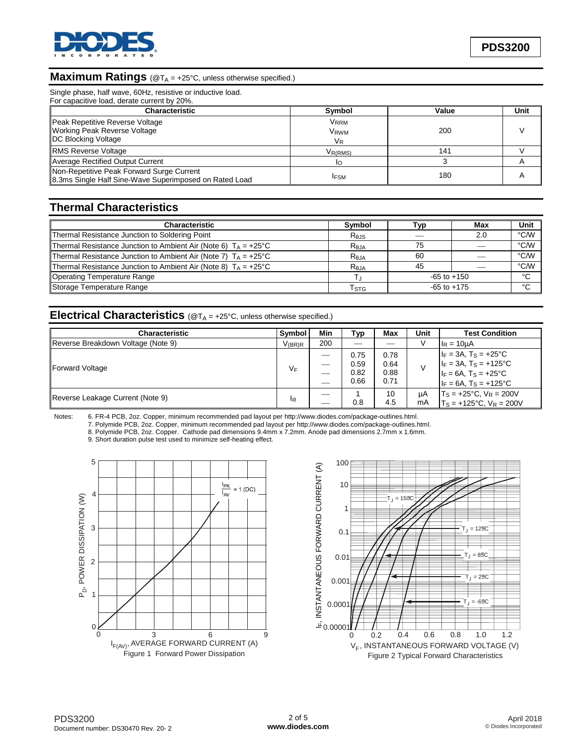

### **Maximum Ratings** (@T<sub>A</sub> = +25°C, unless otherwise specified.)

Single phase, half wave, 60Hz, resistive or inductive load.

| For capacitive load, derate current by 20%.                                                         |                                |       |      |
|-----------------------------------------------------------------------------------------------------|--------------------------------|-------|------|
| <b>Characteristic</b>                                                                               | <b>Symbol</b>                  | Value | Unit |
| Peak Repetitive Reverse Voltage<br>Working Peak Reverse Voltage<br><b>DC Blocking Voltage</b>       | Vrrm<br>Vrwm<br>V <sub>R</sub> | 200   |      |
| <b>RMS Reverse Voltage</b>                                                                          | V <sub>R(RMS)</sub>            | 141   |      |
| Average Rectified Output Current                                                                    |                                |       |      |
| Non-Repetitive Peak Forward Surge Current<br>8.3ms Single Half Sine-Wave Superimposed on Rated Load | <b>IFSM</b>                    | 180   |      |

# **Thermal Characteristics**

| <b>Characteristic</b>                                                    | <b>Symbol</b>               | Typ             | Max | Unit |
|--------------------------------------------------------------------------|-----------------------------|-----------------|-----|------|
|                                                                          |                             |                 |     |      |
| Thermal Resistance Junction to Soldering Point                           | Rejs                        |                 | 2.0 | °C/W |
| Thermal Resistance Junction to Ambient Air (Note 6) $T_A = +25^{\circ}C$ | $R_{\theta$ JA              | 75              |     | °C/W |
| Thermal Resistance Junction to Ambient Air (Note 7) $T_A = +25^{\circ}C$ | Reja                        | 60              |     | °C/W |
| Thermal Resistance Junction to Ambient Air (Note 8) $T_A = +25^{\circ}C$ | $R_{\theta$ JA              | 45              |     | °C/W |
| <b>Operating Temperature Range</b>                                       |                             | $-65$ to $+150$ |     | °C   |
| Storage Temperature Range                                                | $\mathsf{T}_{\textsf{STG}}$ | $-65$ to $+175$ |     | °C   |

### **Electrical Characteristics** (@T<sub>A</sub> = +25°C, unless otherwise specified.)

| <b>Characteristic</b>              | Symbol      | Min                      | Typ                          | Max                          | Unit     | <b>Test Condition</b>                                                                                                                    |
|------------------------------------|-------------|--------------------------|------------------------------|------------------------------|----------|------------------------------------------------------------------------------------------------------------------------------------------|
| Reverse Breakdown Voltage (Note 9) | $V_{(BR)R}$ | 200                      |                              |                              |          | $I_R = 10 \mu A$                                                                                                                         |
| Forward Voltage                    | VF          | $\overline{\phantom{a}}$ | 0.75<br>0.59<br>0.82<br>0.66 | 0.78<br>0.64<br>0.88<br>0.71 |          | $I_F = 3A$ , $T_S = +25^{\circ}C$<br>$I_F = 3A$ , $T_S = +125$ °C<br>$I_F = 6A$ , T <sub>S</sub> = +25°C<br>$I_F = 6A$ , $T_S = +125$ °C |
| Reverse Leakage Current (Note 9)   | 1R          |                          | 0.8                          | 10<br>4.5                    | μA<br>mA | $T_S = +25$ °C, $V_R = 200V$<br>$T_s = +125$ °C, $V_R = 200V$                                                                            |

Notes: 6. FR-4 PCB, 2oz. Copper, minimum recommended pad layout per [http://www.diodes.com/package-outlines.html.](http://www.diodes.com/package-outlines.html) 

7. Polymide PCB, 2oz. Copper, minimum recommended pad layout per [http://www.diodes.com/package-outlines.html.](http://www.diodes.com/package-outlines.html) 

8. Polymide PCB, 2oz. Copper. Cathode pad dimensions 9.4mm x 7.2mm. Anode pad dimensions 2.7mm x 1.6mm.

9. Short duration pulse test used to minimize self-heating effect.



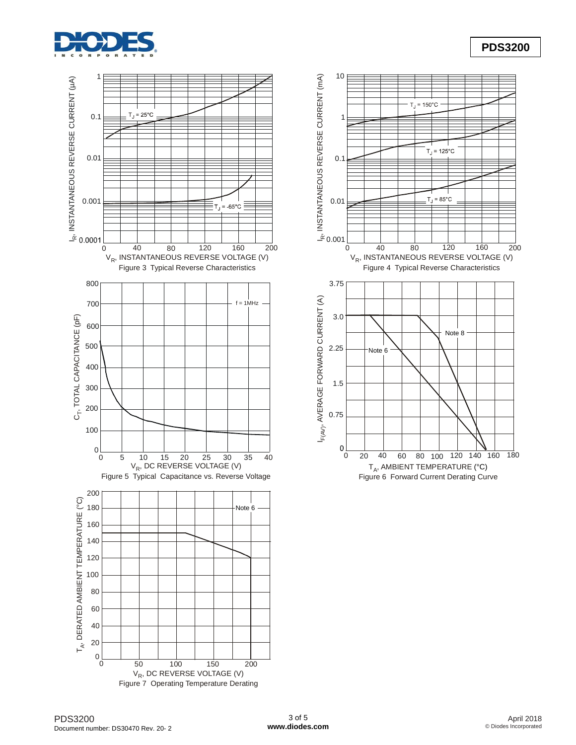





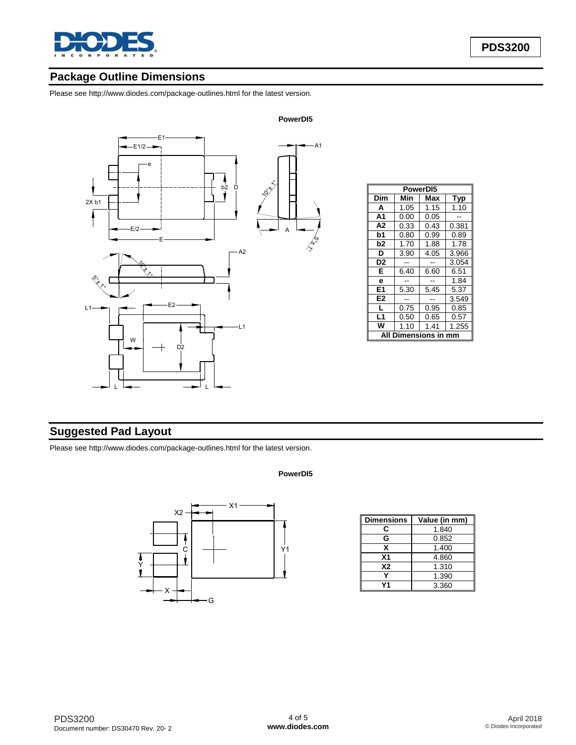

# **Package Outline Dimensions**

Please see <http://www.diodes.com/package-outlines.html> for the latest version.



| PowerD <sub>15</sub> |      |      |       |  |
|----------------------|------|------|-------|--|
| Dim                  | Min  | Max  | Typ   |  |
| A                    | 1.05 | 1.15 | 1.10  |  |
| A1                   | 0.00 | 0.05 |       |  |
| A2                   | 0.33 | 0.43 | 0.381 |  |
| b1                   | 0.80 | 0.99 | 0.89  |  |
| b2                   | 1.70 | 1.88 | 1.78  |  |
| D                    | 3.90 | 4.05 | 3.966 |  |
| D <sub>2</sub>       |      |      | 3.054 |  |
| E                    | 6.40 | 6.60 | 6.51  |  |
| e                    |      |      | 1.84  |  |
| E <sub>1</sub>       | 5.30 | 5.45 | 5.37  |  |
| E <sub>2</sub>       |      |      | 3.549 |  |
| L                    | 0.75 | 0.95 | 0.85  |  |
| L1                   | 0.50 | 0.65 | 0.57  |  |
| w                    | 1.10 | 1.41 | 1.255 |  |
| mensions in          |      |      |       |  |

# **Suggested Pad Layout**

Please see <http://www.diodes.com/package-outlines.html> for the latest version.

#### **PowerDI5**



| <b>Dimensions</b> | Value (in mm) |
|-------------------|---------------|
| c                 | 1.840         |
| G                 | 0.852         |
| x                 | 1.400         |
| X <sub>1</sub>    | 4.860         |
| <b>X2</b>         | 1.310         |
|                   | 1.390         |
|                   | 3.360         |

#### **PowerDI5**